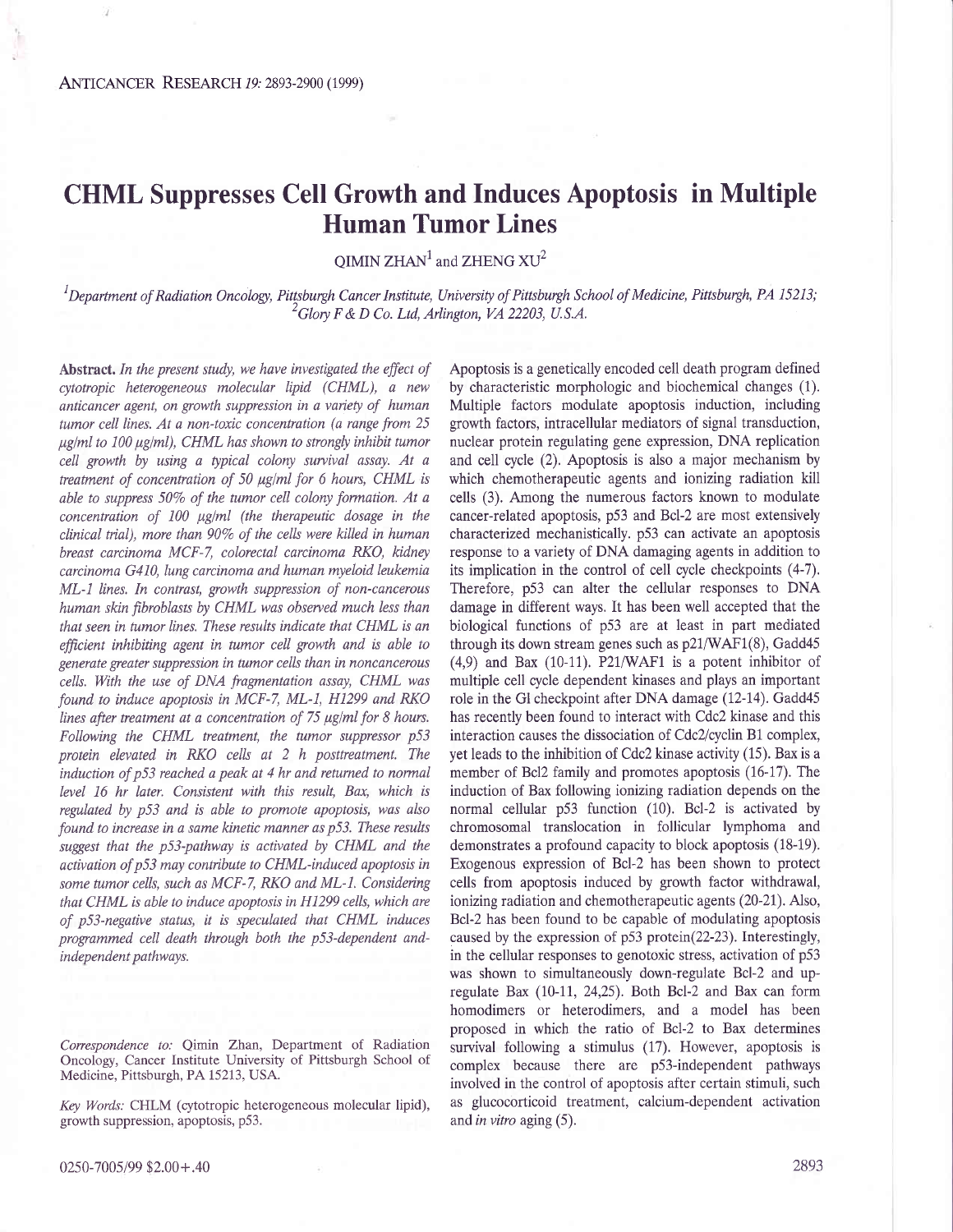## CHML Suppresses Cell Growth and Induces Apoptosis in Multiple Human Tumor Lines

OIMIN  $ZHAN<sup>1</sup>$  and  $ZHENG XU<sup>2</sup>$ 

 ${}^{1}$ Department of Radiation Oncology, Pittsburgh Cancer Institute, University of Pittsburgh School of Medicine, Pittsburgh, PA 15213;  $^2$ Glory F & D Co. Ltd, Arlington, VA 22203, U.S.A.

Abstract. In the present study, we have investigated the effect of cytotropic heterogeneous molecular lipid (CHML), a new anticancer agent, on growth suppression in a variety of human tumor cell lines. At a non-toxic concentration (a range from 25  $\mu$ g/ml to 100  $\mu$ g/ml), CHML has shown to strongly inhibit tumor cell growth by using a typical colony survival assay. At a treatment of concentration of 50  $\mu$ g/ml for 6 hours, CHML is able to suppress 50% of the tumor cell colony formation. At a concentration of  $100 \mu g/ml$  (the therapeutic dosage in the clinical trial), more than 90% of the cells were killed in human breast carcinoma MCF-7, colorectal carcinoma RKO, kidney carcinoma G410, lung carcinoma and human myeloid leukemia ML-I lines. In contrast, growth suppression of non-cancerous human skin fibroblasts by CHML was obsewed much less than that seen in tumor lines. These results indicate that CHML is an fficient inhibiting agent in tumor cell growth and is able to generate greater suppression in tumor cells than in noncancerous cells. With the use of DNA fragmentation assay, CHML was found to induce apoptosis in MCF-7, ML-1, H1299 and RKO lines after treatment at a concentration of  $75 \mu$ g/ml for 8 hours. Following the CHML treatment, the tumor suppressor p53 protein elevated in RKO cells at 2 h posttreatment. The induction of p53 reached a peak at 4 hr and retumed to normal level 16 hr later. Consistent with this result, Bax, which is regulated by p53 and is able to promote apoptosis, was also found to increase in a same kinetic manner as p53. These results suggest that the p53-pathway is activated by CHML and the activation of p53 may contribute to CHML-induced apoptosis in some tumor cells, such as MCF-7, RKO and ML-1. Considering that CHML is able to induce apoptosis in H1299 cells, which are of p\3-negative status, it is speculated that CHML induces programmed cell death through both the p53-dependent andindependent pathways.

Correspondence to: Qimin Zhan, Department of Radiation Oncology, Cancer Institute University of Pittsburgh School of Medicine, Pittsburgh, PA 15213, USA.

Key Words: CHLM (cytotropic heterogeneous molecular lipid), growth suppression, apoptosis, p53.

Apoptosis is a genetically encoded cell death program defined by characteristic morphologic and biochemical changes (1). Multiple factors modulate apoptosis induction, including growth factors, intracellular mediators of signal transduction, nuclear protein regulating gene expression, DNA replication and cell cycle (2). Apoptosis is also a major mechanism by which chemotherapeutic agents and ionizing radiation kill cells (3). Among the numerous factors known to modulate cancer-related apoptosis, p53 and Bcl-2 are most extensively characterized mechanistically. p53 can activate an apoptosis response to a variety of DNA damaging agents in addition to its implication in the control of cell cycle checkpoints (4-7). Therefore, p53 can alter the cellular responses to DNA damage in different ways. It has been well accepted that the biological functions of p53 are at least in part mediated through its down stream genes such as  $p21/WAF1(8)$ , Gadd45  $(4,9)$  and Bax  $(10-11)$ . P21/WAF1 is a potent inhibitor of multiple cell cycle dependent kinases and plays an important role in the Gl checkpoint after DNA damage (12-14). Gadd45 has recently been found to interact with Cdc2 kinase and this interaction causes the dissociation of Cdc2/cyclin B1 complex, yet leads to the inhibition of Cdc2 kinase activity (15). Bax is a member of Bcl2 family and promotes apoptosis (16-17). The induction of Bax following ionizing radiation depends on the normal cellular p53 function (10). Bcl-2 is activated by chromosomal translocation in follicular lymphoma and demonstrates a profound capacity to block apoptosis (18-19). Exogenous expression of Bcl-2 has been shown to protect cells from apoptosis induced by growth factor withdrawal, ionizing radiation and chemotherapeutic agents (20-21). Also, Bcl-2 has been found to be capable of modulating apoptosis caused by the expression of p53 protein(22-23). Interestingly, in the cellular responses to genotoxic stress, activation of p53 was shown to simultaneously down-regulate Bcl-2 and upregulate Bax (10-11, 24,25). Both Bcl-2 and Bax can form homodimers or heterodimers, and a model has been proposed in which the ratio of Bcl-2 to Bax determines survival following a stimulus (17). However, apoptosis is complex because there are p53-independent pathways involved in the control of apoptosis after certain stimuli, such as glucocorticoid treatment, calcium-dependent activation and in vitro aging  $(5)$ .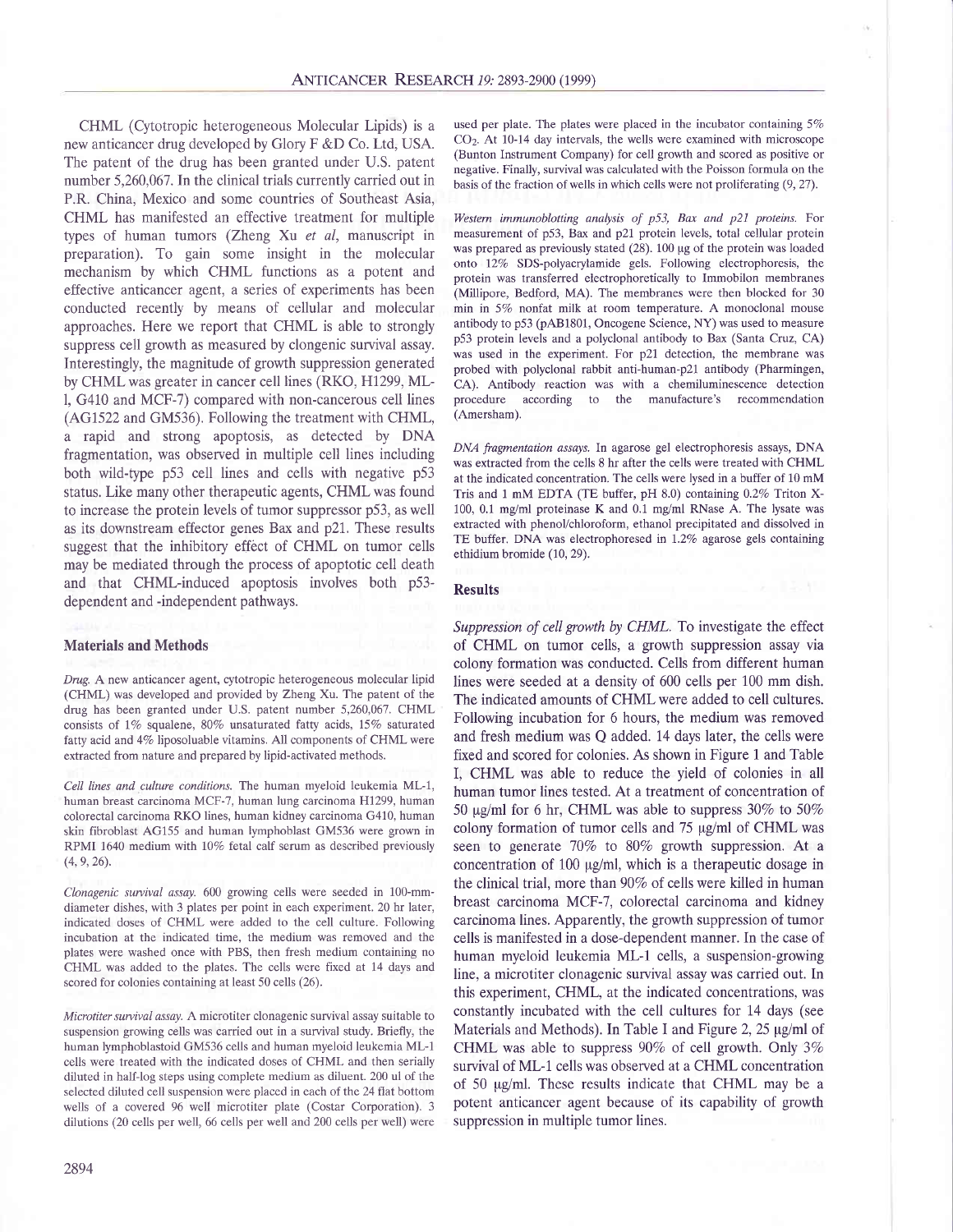CHML (Cytotropic heterogeneous Molecular Lipids) is a new anticancer drug developed by Glory F &D Co. Ltd, USA. The patent of the drug has been granted under U.S. patent number 5,260,067. In the clinical trials currently carried out in P.R. China, Mexico and some countries of Southeast Asia, CHML has manifested an effective treatment for multiple types of human tumors (Zheng Xu et al, manuscript in preparation). To gain some insight in the molecular mechanism by which CHML functions as a potent and effective anticancer agent, a series of experiments has been conducted recently by means of cellular and molecular approaches. Here we report that CHML is able to strongly suppress cell growth as measured by clongenic survival assay. Interestingly, the magnitude of growth suppression generated by CHML was greater in cancer cell lines (RKO, H1299,ML-1, G410 and MCF-7) compared with non-cancerous cell lines (AGI522 and GM536). Following the treatment with CHML, a rapid and strong apoptosis, as detected by DNA fragmentation, was observed in multiple cell lines including both wild-type p53 cell lines and cells with negative p53 status. Like many other therapeutic agents, CHML was found to increase the protein levels of tumor suppressor p53, as well as its downstream effector genes Bax and p21. These results suggest that the inhibitory effect of CHML on tumor cells may be mediated through the process of apoptotic cell death and that CHMl-induced apoptosis involves both p53 dependent and -independent pathways.

## Materials and Methods

Drug. A new anticancer agent, cytotropic heterogeneous molecular lipid (CHML) was developed and provided by Zheng Xu. The patent of the drug has been granted under U.S. patent number 5,260,067. CHML consists of 1% squalene, 80% unsaturated fatty acids, 15% saturated fatty acid and 4% liposoluable vitamins. All components of CHML were extracted from nature and prepared by lipid-activated methods.

Cell lines and culture conditions. The human myeloid leukemia ML-1, human breast carcinoma MCF-7, human lung carcinoma H1299, human colorectal carcinoma RKO lines, human kidney carcinoma G410, human skin fibroblast AG155 and human lymphoblast GM536 were grown in RPMI 1640 medium with 10% fetal calf serum as described previously  $(4, 9, 26)$ .

Clonagenic suwival assay. 600 growing cells were seeded in 100-mmdiameter dishes, with 3 plates per point in each experiment. 20 hr later, indicated doses of CHML were added to the cell culture. Following incubation at the indicated time, the medium was removed and the plates were washed once with PBS, then fresh medium containing no CHML was added to the plates. The cells were fixed at 14 days and scored for colonies containing at least 50 cells (26).

Microtiter suwival assay. A microtiter clonagenic survival assay suitable to suspension growing cells was carried out in a survival study. Briefly, the human lymphoblastoid GM536 cells and human myeloid leukemia ML-1 cells were treated with the indicated doses of CHML and then serially diluted in half-log steps using complete medium as diluent. 200 ul of the selected diluted cell suspension were placed in each of the 24 flat bottom wells of a covered 96 well microtiter plate (Costar Corporation). 3 dilutions (20 cells per well, 66 cells per well and 200 cells per well) were

used per plate. The plates were placed in the incubator containing  $5\%$ CO2. At 10-14 day intervals, the wells were examined with microscope (Bunton Instrument Company) for cell growth and scored as positive or negative. Finally, suwival was calculated with the Poisson formula on the basis of the fraction of wells in which cells were not proliferating (9,27).

Westem immunoblotting analysis of p53, Bax and p21 proteins. For measurement of p53, Bax and p21 protein levels, total cellular protein was prepared as previously stated  $(28)$ . 100 µg of the protein was loaded onto 12% SDS-polyacrylamide gels. Following electrophoresis, the protein was transferred eiectrophoretically to Immobilon membranes (Millipore, Bedford, MA). The membranes were then blocked for 30 min in 5Vo nonfat milk at room temperature. A monoclonal mouse antibody to p53 (pAB1801, Oncogene Science, NY) was used to measure p53 protein levels and a polyclonal antibody to Bax (Santa Cruz, CA) was used in the experiment. For p21 detection, the membrane was probed with polyclonal rabbit anti-human-p2l antibody (Pharmingen, CA). Antibody reaction was with a chemiluminescence detection procedure according to the manufacture's recommendation (Amersham).

DNA fragmentation assays. In agarose gel electrophoresis assays, DNA was extracted from the cells 8 hr after the cells were treated with CHML at the indicated concentration. The cells were lysed in a buffer of 10 mM Tris and 1 mM EDTA (TE buffer, pH 8.0) containing 0.2% Triton X-100, 0.1 mg/ml proteinase K and 0.1 mg/ml RNase A. The lysate was extracted with phenol/chloroform, ethanol precipitated and dissolved in TE buffer. DNA was electrophoresed in 1.2% agarose gels containing ethidium bromide (10, 29\.

## Results

Suppression of cell growth by CHML. To investigate the effect of CHML on tumor cells, a growth suppression assay via colony formation was conducted. Cells from different human lines were seeded at a density of 600 cells per 100 mm dish. The indicated amounts of CHML were added to cell cultures. Following incubation for 6 hours, the medium was removed and fresh medium was Q added. 14 days later, the cells were fixed and scored for colonies. As shown in Figure 1 and Table I, CHML was able to reduce the yield of colonies in all human tumor lines tested. At a treatment of concentration of 50  $\mu$ g/ml for 6 hr, CHML was able to suppress 30% to 50% colony formation of tumor cells and  $75 \mu g/ml$  of CHML was seen to generate 70% to 80% growth suppression. At a concentration of 100 µg/ml, which is a therapeutic dosage in the clinical trial, more than 90% of cells were killed in human breast carcinoma MCF-7, colorectal carcinoma and kidney carcinoma lines. Apparently, the growth suppression of tumor cells is manifested in a dose-dependent manner. In the case of human myeloid leukemia ML-1 cells, a suspension-growing line, a microtiter clonagenic survival assay was carried out. In this experiment, CHML, at the indicated concentrations, was constantly incubated with the cell cultures for 14 days (see Materials and Methods). In Table I and Figure 2,  $25 \mu g/ml$  of CHML was able to suppress 90% of cell growth. Only 3% survival of ML-1 cells was observed at a CHML concentration of 50 pg/ml. These results indicate that CHML may be a potent anticancer agent because of its capability of growth suppression in multiple tumor lines.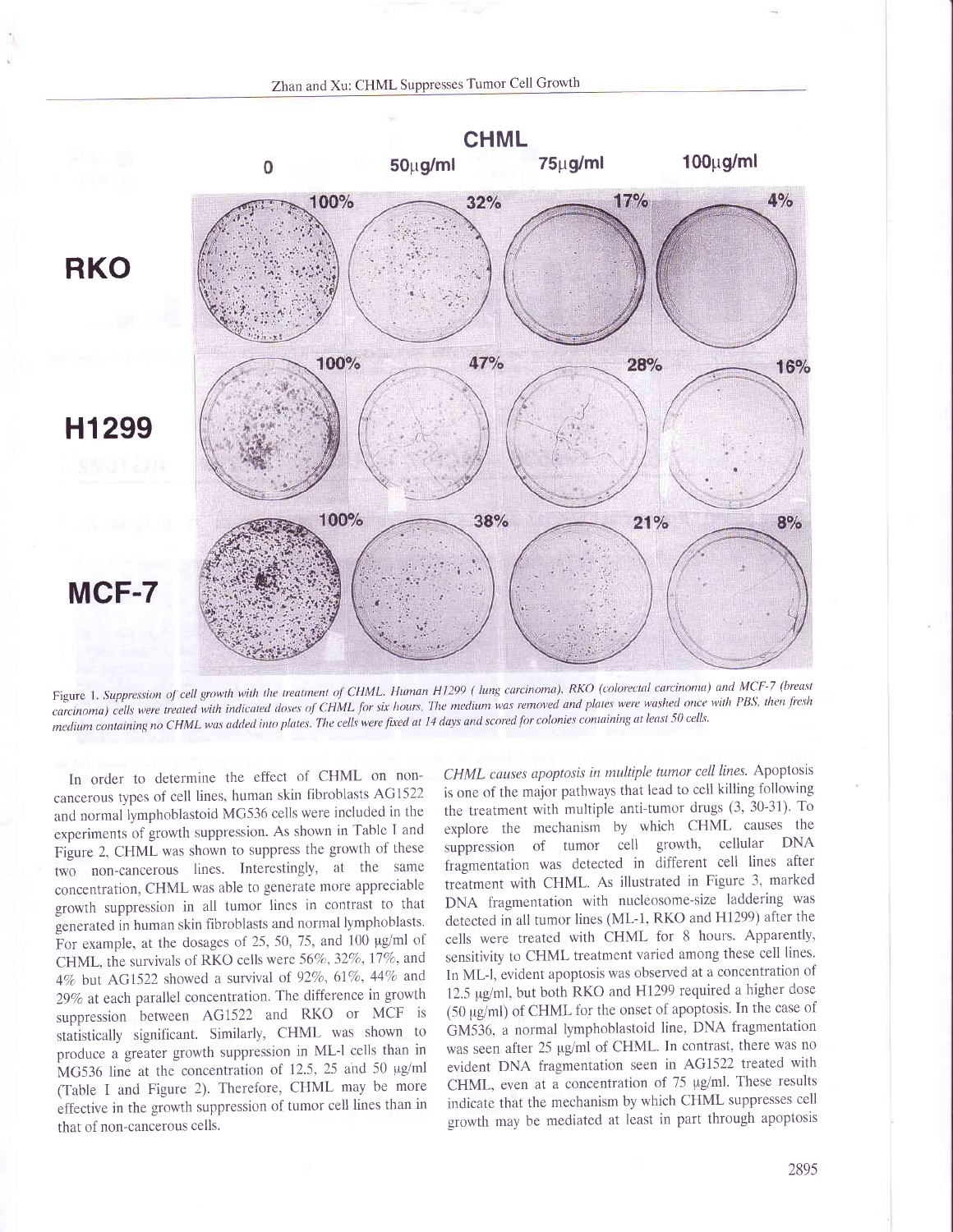Zhan and Xu: CHML Suppresses Tumor Cell Growth



Figure 1. Suppression of cell growth with the treatment of CHML. Human H1299 (lung carcinoma), RKO (colorectal carcinoma) and MCF-7 (breast carcinoma) cells were treated with indicated doses of CHML for six hours. The medium was removed and plates were washed once with PBS, then fresh medium containing no CHML was added into plates. The cells were fixed at 14 days and scored for colonies containing at least 50 cells.

In order to determine the effect of CHML on noncancerous types of cell lines, human skin fibroblasts AG1522 and normal lymphoblastoid MG536 cells were included in the experiments of growth suppression. As shown in Table I and Figure 2, CHML was shown to suppress the growth of these two non-cancerous lines. Interestingly, at the same concentration, CHML was able to generate more appreciable growth suppression in all tumor lines in contrast to that generated in human skin fibroblasts and normal lymphoblasts. For example, at the dosages of 25, 50, 75, and 100 µg/ml of CHML, the survivals of RKO cells were 56%, 32%, 17%, and 4% but AG1522 showed a survival of 92%, 61%, 44% and 29% at each parallel concentration. The difference in growth suppression between AG1522 and RKO or MCF is statistically significant. Similarly, CHML was shown to produce a greater growth suppression in ML-l cells than in MG536 line at the concentration of 12.5, 25 and 50 µg/ml (Table I and Figure 2). Therefore, CHML may be more effective in the growth suppression of tumor cell lines than in that of non-cancerous cells.

CHML causes apoptosis in multiple tumor cell lines. Apoptosis is one of the major pathways that lead to cell killing following the treatment with multiple anti-tumor drugs (3, 30-31). To explore the mechanism by which CHML causes the suppression of tumor cell growth, cellular DNA fragmentation was detected in different cell lines after treatment with CHML. As illustrated in Figure 3, marked DNA fragmentation with nucleosome-size laddering was detected in all tumor lines (ML-1, RKO and H1299) after the cells were treated with CHML for 8 hours. Apparently, sensitivity to CHML treatment varied among these cell lines. In ML-l, evident apoptosis was observed at a concentration of 12.5 µg/ml, but both RKO and H1299 required a higher dose (50 µg/ml) of CHML for the onset of apoptosis. In the case of GM536, a normal lymphoblastoid line, DNA fragmentation was seen after 25 µg/ml of CHML. In contrast, there was no evident DNA fragmentation seen in AG1522 treated with CHML, even at a concentration of 75 µg/ml. These results indicate that the mechanism by which CHML suppresses cell growth may be mediated at least in part through apoptosis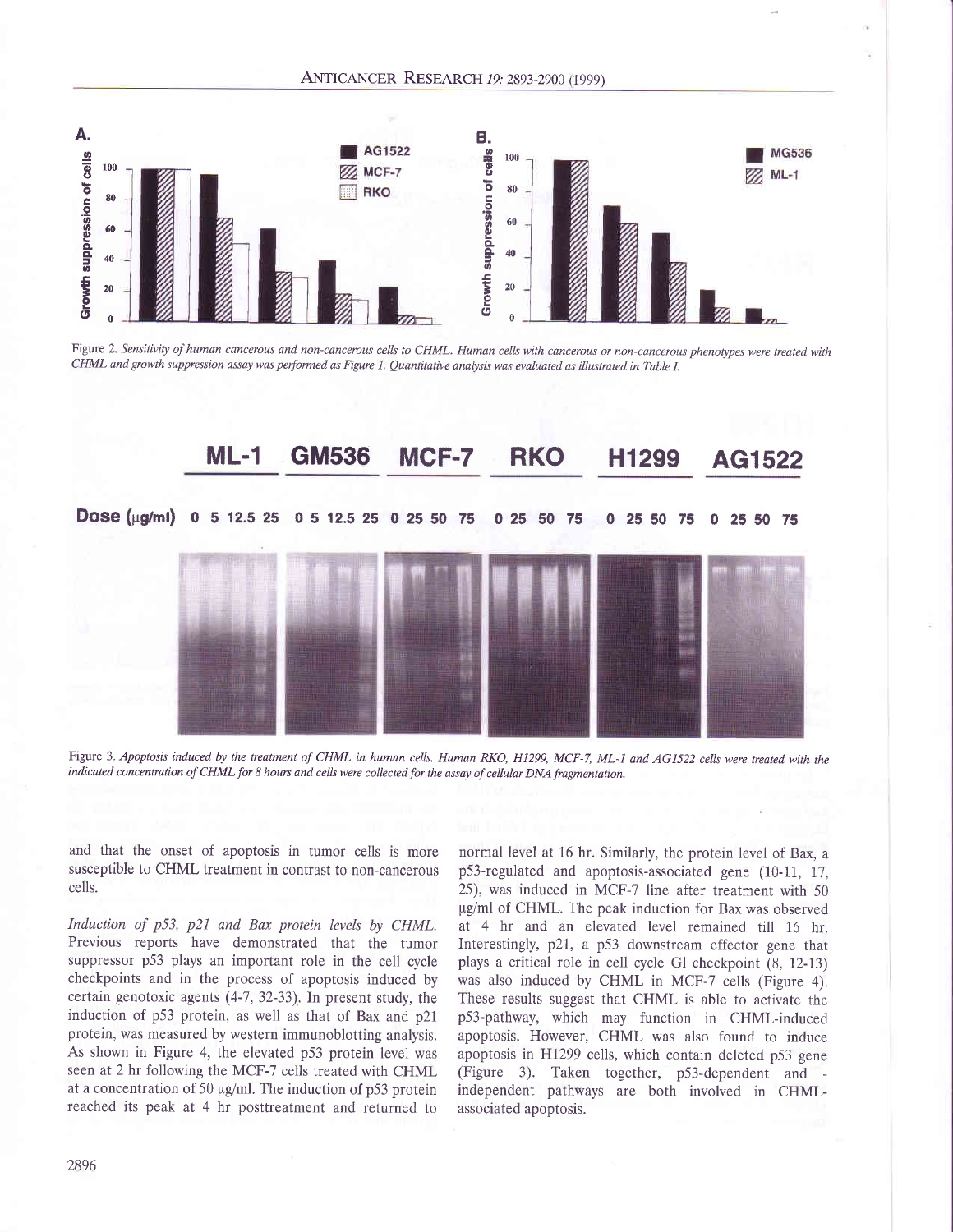

Figure 2. Sensitivity of human cancerous and non-cancerous cells to CHML. Human cells with cancerous or non-cancerous phenotypes were treated with CHML and growth suppression assay was performed as Figure 1. Quantitative analysis was evaluated as illustated in Table I.



Figure 3. Apoptosis induced by the treatment of CHML in human cells. Human RKO, H1299, MCF-7, ML-I and AG1522 cells were treated with the indicated concentration of CHML for 8 hours and cells were collected for the assay of cellular DNA fragmentation.

and that the onset of apoptosis in tumor cells is more susceptible to CHML treatment in contrast to non-cancerous cells.

Induction of p53, p21 and Bax protein levels by CHML. Previous reports have demonstrated that the tumor suppressor p53 plays an important role in the cell cycle checkpoints and in the process of apoptosis induced by certain genotoxic agents (4-7,32-33). In present study, the induction of p53 protein, as well as that of Bax and p2l protein, was measured by western immunoblotting analysis. As shown in Figure 4, the elevated p53 protein level was seen at 2 hr following the MCF-7 cells treated with CHML at a concentration of 50  $\mu$ g/ml. The induction of p53 protein reached its peak at 4 hr posttreatment and returned to

normal level at 16 hr. Similarly, the protein level of Bax, a p53-regulated and apoptosis-associated gene (10-11, 17, 25), was induced in MCF-7 line after treatment with 50 pg/ml of CHML. The peak induction for Bax was observed at 4 hr and an elevated level remained till 16 hr. Interestingly, p2l, a p53 downstream effector gene that plays a critical role in cell cycle Gl checkpoint (8, 12-13) was also induced by CHML in MCF-7 cells (Figure 4). These results suggest that CHML is able to activate the p53-pathway, which may function in CHMl-induced apoptosis. However, CHML was also found to induce apoptosis in HI299 cells, which contain deleted p53 gene (Figure 3). Taken together, p53-dependent and independent pathways are both involved in CHMLassociated apoptosis.